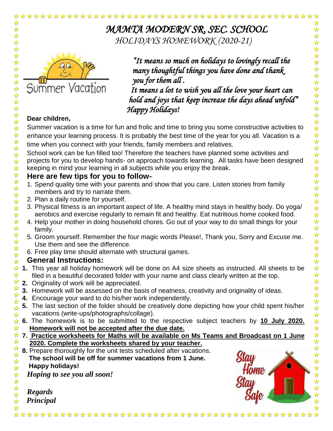

*MAMTA MODERN SR. SEC. SCHOOL HOLIDAYS HOMEWORK (2020-21)*



*"It means so much on holidays to lovingly recall the many thoughtful things you have done and thank you for them all .* 

 *It means a lot to wish you all the love your heart can hold and joys that keep increase the days ahead unfold" Happy Holidays!* 

### **Dear children,**

☆

☆

 $\frac{1}{2}$ 

2224

 $\frac{1}{\sqrt{2}}$ 

女女女女女女女女女女女女女女女

 $\frac{1}{2}$ 

华琴琴琴

 $\frac{1}{\sqrt{2}}$  $\frac{1}{\sqrt{2}}$ ☆  $\frac{1}{\sqrt{2}}$ 

5公子

 $\frac{1}{2}$  $\frac{1}{\sqrt{2}}$ 

 $\frac{1}{\sqrt{2}}$ 

 $\frac{1}{\sqrt{2}}$ 

琴琴琴:

 $\frac{1}{\sqrt{2}}$ ☆

Summer vacation is a time for fun and frolic and time to bring you some constructive activities to enhance your learning process. It is probably the best time of the year for you all. Vacation is a time when you connect with your friends, family members and relatives.

School work can be fun filled too! Therefore the teachers have planned some activities and projects for you to develop hands- on approach towards learning. All tasks have been designed keeping in mind your learning in all subjects while you enjoy the break.

#### **Here are few tips for you to follow-**

- 1. Spend quality time with your parents and show that you care. Listen stories from family members and try to narrate them.
- 2. Plan a daily routine for yourself.
- 3. Physical fitness is an important aspect of life. A healthy mind stays in healthy body. Do yoga/ aerobics and exercise regularly to remain fit and healthy. Eat nutritious home cooked food.
- 4. Help your mother in doing household chores. Go out of your way to do small things for your family.
- 5. Groom yourself. Remember the four magic words Please!, Thank you, Sorry and Excuse me. Use them and see the difference.
- 6. Free play time should alternate with structural games.

#### **General Instructions:**

- $\frac{1}{\sqrt{2}}$ ☆ **1.** This year all holiday homework will be done on A4 size sheets as instructed. All sheets to be  $\frac{1}{2}$ filed in a beautiful decorated folder with your name and class clearly written at the top.
- $\frac{1}{2}$ **2.** Originality of work will be appreciated.
- ☆ **3.** Homework will be assessed on the basis of neatness, creativity and originality of ideas.
- $\frac{1}{\sqrt{2}}$ **4.** Encourage your ward to do his/her work independently.  $\frac{1}{\sqrt{2}}$
- **5.** The last section of the folder should be creatively done depicting how your child spent his/her  $\frac{1}{\sqrt{2}}$ vacations (write-ups/photographs/collage). ☆
- **6.** The homework is to be submitted to the respective subject teachers by **10 July 2020.**   $\frac{1}{\sqrt{2}}$ ☆ **Homework will not be accepted after the due date.**
- ☆ **7. Practice worksheets for Maths will be available on Ms Teams and Broadcast on 1 June**   $\frac{1}{2}$ **2020. Complete the worksheets shared by your teacher.**

- ☆ **8.** Prepare thoroughly for the unit tests scheduled after vacations.  $\frac{1}{2}$  **The school will be off for summer vacations from 1 June.**  $\frac{1}{\sqrt{2}}$ 
	- **Happy holidays!**

*Hoping to see you all soon!* 

*Regards Principal*



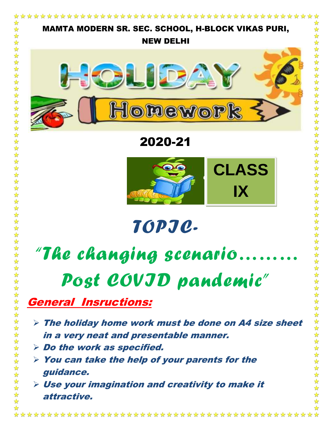

- $\triangleright$  The holiday home work must be done on A4 size sheet in a very neat and presentable manner.
- $\triangleright$  Do the work as specified.

 $\frac{1}{2}$ 冷冷  $\blacktriangle$ ☆

- $\triangleright$  You can take the help of your parents for the guidance.
- $\triangleright$  Use your imagination and creativity to make it attractive.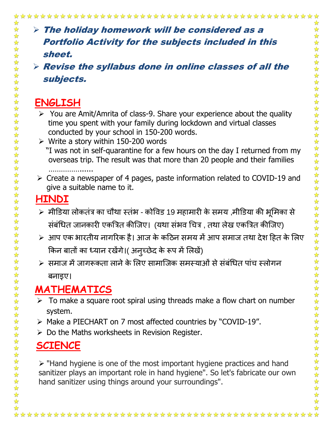### $\triangleright$  The holiday homework will be considered as a Portfolio Activity for the subjects included in this sheet.

 $\triangleright$  Revise the syllabus done in online classes of all the subjects.

### **ENGLISH**

☆  $\frac{1}{\sqrt{2}}$ 

女女女女女女女女女女女女女女女女女女

琴琴琴

外外外外外

外外外外外

 $\frac{1}{2}$ 

☆☆☆☆☆☆☆☆☆☆☆☆☆☆☆☆☆☆

琴琴  $\frac{1}{\sqrt{2}}$ 

琴琴琴

 $\frac{1}{\sqrt{2}}$ 

- $\triangleright$  You are Amit/Amrita of class-9. Share your experience about the quality time you spent with your family during lockdown and virtual classes conducted by your school in 150-200 words.
- $\triangleright$  Write a story within 150-200 words "I was not in self-quarantine for a few hours on the day I returned from my overseas trip. The result was that more than 20 people and their families
- …………………… Create a newspaper of 4 pages, paste information related to COVID-19 and give a suitable name to it.

## **HINDI**

- ≻ मीडिया लोकतंत्र का चौथा स्तंभ कोविड 19 महामारी के समय ,मीडिया की भूमिका से संबंधित जानकारी एकत्रित कीजिए। (यथा संभव चित्र , तथा लेख एकत्रित कीजिए)
- ≻ आप एक भारतीय नागरिक है। आज के कठिन समय में आप समाज तथा देश हित के लिए किन बातों का ध्यान रखेंगे।( अनुच्छेद के रूप में लिखें)
- ≽ समाज में जागरूकता लाने के लिए सामाजिक समस्याओं से संबंधित पांच स्लोगन बनाइए।

## **MATHEMATICS**

- $\triangleright$  To make a square root spiral using threads make a flow chart on number system.
- Make a PIECHART on 7 most affected countries by "COVID-19".
- $\triangleright$  Do the Maths worksheets in Revision Register.

# **SCIENCE**

 $\triangleright$  "Hand hygiene is one of the most important hygiene practices and hand sanitizer plays an important role in hand hygiene". So let's fabricate our own hand sanitizer using things around your surroundings".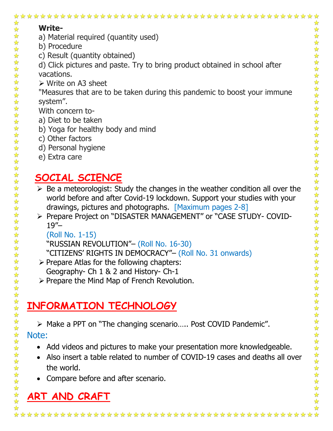| 计算<br><b>Write-</b><br>$\blacktriangleright$<br>$\frac{1}{2}$                                                                  |
|--------------------------------------------------------------------------------------------------------------------------------|
| 22 22 22<br>a) Material required (quantity used)<br>b) Procedure                                                               |
| 琴琴琴<br>c) Result (quantity obtained)                                                                                           |
| 外外外外<br>$\frac{1}{2}$<br>d) Click pictures and paste. Try to bring product obtained in school after                            |
| vacations.                                                                                                                     |
| $\triangleright$ Write on A3 sheet                                                                                             |
| "Measures that are to be taken during this pandemic to boost your immune                                                       |
| system".                                                                                                                       |
| *********<br>With concern to-                                                                                                  |
| a) Diet to be taken<br>$\frac{1}{\sqrt{2}}$                                                                                    |
| 冷冷<br>b) Yoga for healthy body and mind                                                                                        |
| c) Other factors<br>$\frac{1}{2}$                                                                                              |
| d) Personal hygiene                                                                                                            |
| 女女女女女女女女女女女女女女女<br>e) Extra care                                                                                               |
|                                                                                                                                |
| 女女女女女女女女女女<br>毕毕<br>SOCIAL SCIENCE                                                                                             |
| $\frac{1}{2}$<br>$\triangleright$ Be a meteorologist: Study the changes in the weather condition all over the<br>$\frac{1}{2}$ |
| world before and after Covid-19 lockdown. Support your studies with your<br>$\frac{1}{2}$                                      |
| drawings, pictures and photographs. [Maximum pages 2-8]<br>$\frac{1}{\sqrt{2}}$<br>☆<br>$\frac{1}{2}$                          |
| > Prepare Project on "DISASTER MANAGEMENT" or "CASE STUDY- COVID-<br>$\frac{1}{2}$<br>$\frac{1}{2}$<br>$19'' -$                |
| $\frac{1}{\sqrt{2}}$<br>$\frac{1}{2}$<br>$\frac{1}{2}$<br>$\frac{1}{2}$<br>(Roll No. 1-15)                                     |
| $\rightarrow$<br>$\frac{1}{2}$<br>"RUSSIAN REVOLUTION"- (Roll No. 16-30)                                                       |
| "CITIZENS' RIGHTS IN DEMOCRACY"- (Roll No. 31 onwards)<br>☆                                                                    |
| $\frac{1}{\sqrt{2}}$<br>$\triangleright$ Prepare Atlas for the following chapters:                                             |
| $\frac{1}{\sqrt{2}}$<br>Geography- Ch 1 & 2 and History- Ch-1<br>$\frac{1}{\sqrt{2}}$                                          |
| > Prepare the Mind Map of French Revolution.                                                                                   |
|                                                                                                                                |
| INFORMATION TECHNOLOGY                                                                                                         |
|                                                                                                                                |
| *********<br>> Make a PPT on "The changing scenario Post COVID Pandemic".                                                      |
| Note:                                                                                                                          |
| 毕毕<br>Add videos and pictures to make your presentation more knowledgeable.                                                    |
| ☆<br>☆                                                                                                                         |
| 女女女女女女女女女<br>Also insert a table related to number of COVID-19 cases and deaths all over<br>$\frac{1}{2}$                      |
| the world.<br>☆                                                                                                                |
| 计计<br>Compare before and after scenario.                                                                                       |
| $\frac{1}{2}$<br>ART AND CRAFT                                                                                                 |
| 计算                                                                                                                             |
| ☆                                                                                                                              |

# **ART AND CRAFT**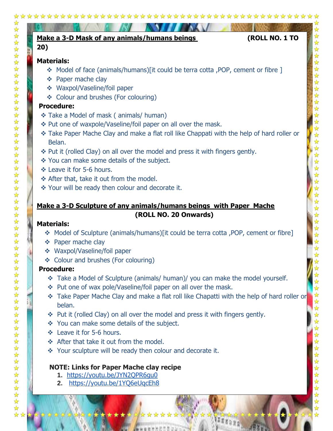| 20) | (ROLL NO. 1 TO<br>Make a 3-D Mask of any animals/humans beings                             |
|-----|--------------------------------------------------------------------------------------------|
|     | <b>Materials:</b>                                                                          |
|     | ♦ Model of face (animals/humans)[it could be terra cotta ,POP, cement or fibre ]           |
|     | ❖ Paper mache clay                                                                         |
|     | ❖ Waxpol/Vaseline/foil paper                                                               |
|     | ❖ Colour and brushes (For colouring)                                                       |
|     | <b>Procedure:</b>                                                                          |
|     | ❖ Take a Model of mask (animals/ human)                                                    |
|     | ❖ Put one of waxpole/Vaseline/foil paper on all over the mask.                             |
|     | * Take Paper Mache Clay and make a flat roll like Chappati with the help of hard roller or |
|     | Belan.                                                                                     |
|     | ❖ Put it (rolled Clay) on all over the model and press it with fingers gently.             |
|     | * You can make some details of the subject.                                                |
|     | ❖ Leave it for 5-6 hours.                                                                  |
|     | ❖ After that, take it out from the model.                                                  |
|     | ❖ Your will be ready then colour and decorate it.                                          |
|     | Make a 3-D Sculpture of any animals/humans beings with Paper Mache                         |
|     | (ROLL NO. 20 Onwards)                                                                      |
|     | <b>Materials:</b>                                                                          |
|     | * Model of Sculpture (animals/humans)[it could be terra cotta, POP, cement or fibre]       |
| 豪   | Paper mache clay                                                                           |
|     | ❖ Waxpol/Vaseline/foil paper                                                               |
|     | ❖ Colour and brushes (For colouring)<br><b>Procedure:</b>                                  |
|     | * Take a Model of Sculpture (animals/ human)/ you can make the model yourself.             |
|     | * Put one of wax pole/Vaseline/foil paper on all over the mask.                            |
|     | Take Paper Mache Clay and make a flat roll like Chapatti with the help of hard roller or   |
|     | belan.                                                                                     |
|     | Put it (rolled Clay) on all over the model and press it with fingers gently.               |
|     | You can make some details of the subject.<br>參                                             |
|     | Leave it for 5-6 hours.<br>參                                                               |
|     | ❖ After that take it out from the model.                                                   |
|     | Your sculpture will be ready then colour and decorate it.<br>察                             |
|     |                                                                                            |
|     | <b>NOTE: Links for Paper Mache clay recipe</b>                                             |
|     |                                                                                            |
|     | https://youtu.be/JYN2QPR6gu0<br>1.<br>https://youtu.be/1YQ6eUqcEh8<br>2.                   |

ふなな INKER

**Concerted ave** 

9 \*\*\*\*\* \*\*\* ☆ Ñ

W.

W

X p